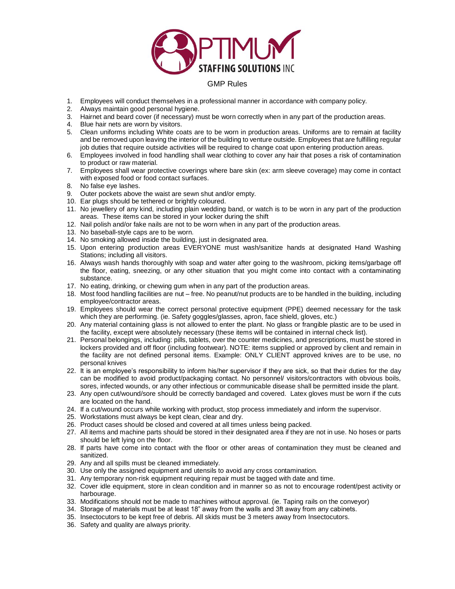

## GMP Rules

- 1. Employees will conduct themselves in a professional manner in accordance with company policy.
- 2. Always maintain good personal hygiene.
- 3. Hairnet and beard cover (if necessary) must be worn correctly when in any part of the production areas.
- 4. Blue hair nets are worn by visitors.
- 5. Clean uniforms including White coats are to be worn in production areas. Uniforms are to remain at facility and be removed upon leaving the interior of the building to venture outside. Employees that are fulfilling regular job duties that require outside activities will be required to change coat upon entering production areas.
- 6. Employees involved in food handling shall wear clothing to cover any hair that poses a risk of contamination to product or raw material.
- 7. Employees shall wear protective coverings where bare skin (ex: arm sleeve coverage) may come in contact with exposed food or food contact surfaces.
- 8. No false eye lashes.
- 9. Outer pockets above the waist are sewn shut and/or empty.
- 10. Ear plugs should be tethered or brightly coloured.
- 11. No jewellery of any kind, including plain wedding band, or watch is to be worn in any part of the production areas. These items can be stored in your locker during the shift
- 12. Nail polish and/or fake nails are not to be worn when in any part of the production areas.
- 13. No baseball-style caps are to be worn.
- 14. No smoking allowed inside the building, just in designated area.
- 15. Upon entering production areas EVERYONE must wash/sanitize hands at designated Hand Washing Stations; including all visitors.
- 16. Always wash hands thoroughly with soap and water after going to the washroom, picking items/garbage off the floor, eating, sneezing, or any other situation that you might come into contact with a contaminating substance.
- 17. No eating, drinking, or chewing gum when in any part of the production areas.
- 18. Most food handling facilities are nut free. No peanut/nut products are to be handled in the building, including employee/contractor areas.
- 19. Employees should wear the correct personal protective equipment (PPE) deemed necessary for the task which they are performing. (ie. Safety goggles/glasses, apron, face shield, gloves, etc.)
- 20. Any material containing glass is not allowed to enter the plant. No glass or frangible plastic are to be used in the facility, except were absolutely necessary (these items will be contained in internal check list).
- 21. Personal belongings, including: pills, tablets, over the counter medicines, and prescriptions, must be stored in lockers provided and off floor (including footwear). NOTE: items supplied or approved by client and remain in the facility are not defined personal items. Example: ONLY CLIENT approved knives are to be use, no personal knives
- 22. It is an employee's responsibility to inform his/her supervisor if they are sick, so that their duties for the day can be modified to avoid product/packaging contact. No personnel/ visitors/contractors with obvious boils, sores, infected wounds, or any other infectious or communicable disease shall be permitted inside the plant.
- 23. Any open cut/wound/sore should be correctly bandaged and covered. Latex gloves must be worn if the cuts are located on the hand.
- 24. If a cut/wound occurs while working with product, stop process immediately and inform the supervisor.
- 25. Workstations must always be kept clean, clear and dry.
- 26. Product cases should be closed and covered at all times unless being packed.
- 27. All items and machine parts should be stored in their designated area if they are not in use. No hoses or parts should be left lying on the floor.
- 28. If parts have come into contact with the floor or other areas of contamination they must be cleaned and sanitized.
- 29. Any and all spills must be cleaned immediately.
- 30. Use only the assigned equipment and utensils to avoid any cross contamination.
- 31. Any temporary non-risk equipment requiring repair must be tagged with date and time.
- 32. Cover idle equipment, store in clean condition and in manner so as not to encourage rodent/pest activity or harbourage.
- 33. Modifications should not be made to machines without approval. (ie. Taping rails on the conveyor)
- 34. Storage of materials must be at least 18" away from the walls and 3ft away from any cabinets.
- 35. Insectocutors to be kept free of debris. All skids must be 3 meters away from Insectocutors.
- 36. Safety and quality are always priority.